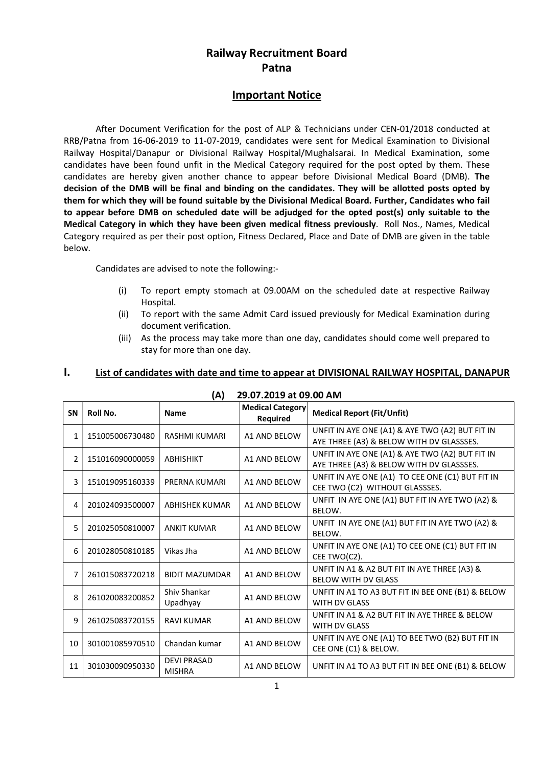# Railway Recruitment Board Patna

### Important Notice

 After Document Verification for the post of ALP & Technicians under CEN-01/2018 conducted at RRB/Patna from 16-06-2019 to 11-07-2019, candidates were sent for Medical Examination to Divisional Railway Hospital/Danapur or Divisional Railway Hospital/Mughalsarai. In Medical Examination, some candidates have been found unfit in the Medical Category required for the post opted by them. These candidates are hereby given another chance to appear before Divisional Medical Board (DMB). The decision of the DMB will be final and binding on the candidates. They will be allotted posts opted by them for which they will be found suitable by the Divisional Medical Board. Further, Candidates who fail to appear before DMB on scheduled date will be adjudged for the opted post(s) only suitable to the Medical Category in which they have been given medical fitness previously. Roll Nos., Names, Medical Category required as per their post option, Fitness Declared, Place and Date of DMB are given in the table below.

Candidates are advised to note the following:-

- (i) To report empty stomach at 09.00AM on the scheduled date at respective Railway Hospital.
- (ii) To report with the same Admit Card issued previously for Medical Examination during document verification.
- (iii) As the process may take more than one day, candidates should come well prepared to stay for more than one day.

#### I. List of candidates with date and time to appear at DIVISIONAL RAILWAY HOSPITAL, DANAPUR

| <b>SN</b>      | Roll No.        | <b>Name</b>                         | Medical Category<br>Required | <b>Medical Report (Fit/Unfit)</b>                                                           |  |  |
|----------------|-----------------|-------------------------------------|------------------------------|---------------------------------------------------------------------------------------------|--|--|
| 1              | 151005006730480 | RASHMI KUMARI                       | A1 AND BELOW                 | UNFIT IN AYE ONE (A1) & AYE TWO (A2) BUT FIT IN<br>AYE THREE (A3) & BELOW WITH DV GLASSSES. |  |  |
| $\overline{2}$ | 151016090000059 | <b>ABHISHIKT</b>                    | A1 AND BELOW                 | UNFIT IN AYE ONE (A1) & AYE TWO (A2) BUT FIT IN<br>AYE THREE (A3) & BELOW WITH DV GLASSSES. |  |  |
| 3              | 151019095160339 | PRERNA KUMARI                       | A1 AND BELOW                 | UNFIT IN AYE ONE (A1) TO CEE ONE (C1) BUT FIT IN<br>CEE TWO (C2) WITHOUT GLASSSES.          |  |  |
| 4              | 201024093500007 | <b>ABHISHEK KUMAR</b>               | <b>A1 AND BELOW</b>          | UNFIT IN AYE ONE (A1) BUT FIT IN AYE TWO (A2) &<br>BELOW.                                   |  |  |
| 5              | 201025050810007 | <b>ANKIT KUMAR</b>                  | A1 AND BELOW                 | UNFIT IN AYE ONE (A1) BUT FIT IN AYE TWO (A2) &<br>BELOW.                                   |  |  |
| 6              | 201028050810185 | Vikas Jha                           | <b>A1 AND BELOW</b>          | UNFIT IN AYE ONE (A1) TO CEE ONE (C1) BUT FIT IN<br>CEE TWO(C2).                            |  |  |
| 7              | 261015083720218 | <b>BIDIT MAZUMDAR</b>               | <b>A1 AND BELOW</b>          | UNFIT IN A1 & A2 BUT FIT IN AYE THREE (A3) &<br><b>BELOW WITH DV GLASS</b>                  |  |  |
| 8              | 261020083200852 | Shiv Shankar<br>Upadhyay            | <b>A1 AND BELOW</b>          | UNFIT IN A1 TO A3 BUT FIT IN BEE ONE (B1) & BELOW<br><b>WITH DV GLASS</b>                   |  |  |
| 9              | 261025083720155 | <b>RAVI KUMAR</b>                   | A1 AND BELOW                 | UNFIT IN A1 & A2 BUT FIT IN AYE THREE & BELOW<br><b>WITH DV GLASS</b>                       |  |  |
| 10             | 301001085970510 | Chandan kumar                       | A1 AND BELOW                 | UNFIT IN AYE ONE (A1) TO BEE TWO (B2) BUT FIT IN<br>CEE ONE (C1) & BELOW.                   |  |  |
| 11             | 301030090950330 | <b>DEVI PRASAD</b><br><b>MISHRA</b> | A1 AND BELOW                 | UNFIT IN A1 TO A3 BUT FIT IN BEE ONE (B1) & BELOW                                           |  |  |

#### (A) 29.07.2019 at 09.00 AM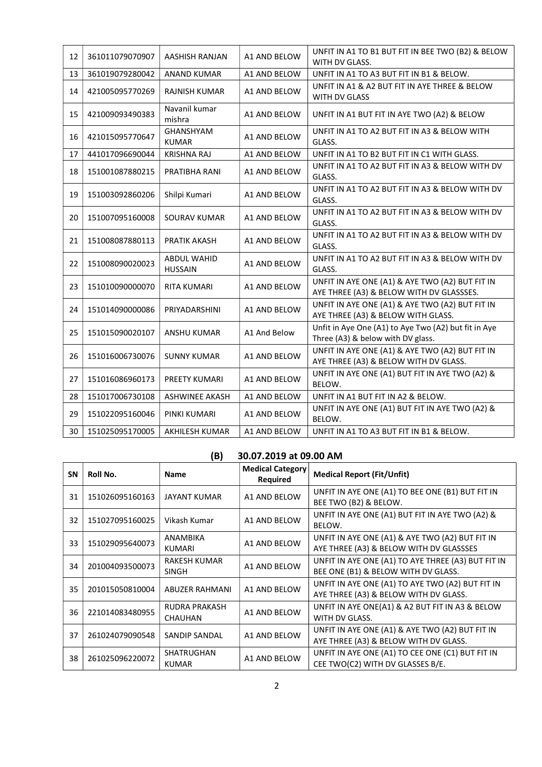| 12 | 361011079070907 | AASHISH RANJAN                | A1 AND BELOW        | UNFIT IN A1 TO B1 BUT FIT IN BEE TWO (B2) & BELOW<br>WITH DV GLASS.                         |
|----|-----------------|-------------------------------|---------------------|---------------------------------------------------------------------------------------------|
| 13 | 361019079280042 | <b>ANAND KUMAR</b>            | A1 AND BELOW        | UNFIT IN A1 TO A3 BUT FIT IN B1 & BELOW.                                                    |
| 14 | 421005095770269 | RAJNISH KUMAR                 | A1 AND BELOW        | UNFIT IN A1 & A2 BUT FIT IN AYE THREE & BELOW<br>WITH DV GLASS                              |
| 15 | 421009093490383 | Navanil kumar<br>mishra       | A1 AND BELOW        | UNFIT IN A1 BUT FIT IN AYE TWO (A2) & BELOW                                                 |
| 16 | 421015095770647 | GHANSHYAM<br><b>KUMAR</b>     | A1 AND BELOW        | UNFIT IN A1 TO A2 BUT FIT IN A3 & BELOW WITH<br>GLASS.                                      |
| 17 | 441017096690044 | <b>KRISHNA RAJ</b>            | A1 AND BELOW        | UNFIT IN A1 TO B2 BUT FIT IN C1 WITH GLASS.                                                 |
| 18 | 151001087880215 | PRATIBHA RANI                 | <b>A1 AND BELOW</b> | UNFIT IN A1 TO A2 BUT FIT IN A3 & BELOW WITH DV<br>GLASS.                                   |
| 19 | 151003092860206 | Shilpi Kumari                 | A1 AND BELOW        | UNFIT IN A1 TO A2 BUT FIT IN A3 & BELOW WITH DV<br>GLASS.                                   |
| 20 | 151007095160008 | <b>SOURAV KUMAR</b>           | A1 AND BELOW        | UNFIT IN A1 TO A2 BUT FIT IN A3 & BELOW WITH DV<br>GLASS.                                   |
| 21 | 151008087880113 | <b>PRATIK AKASH</b>           | A1 AND BELOW        | UNFIT IN A1 TO A2 BUT FIT IN A3 & BELOW WITH DV<br>GLASS.                                   |
| 22 | 151008090020023 | ABDUL WAHID<br><b>HUSSAIN</b> | A1 AND BELOW        | UNFIT IN A1 TO A2 BUT FIT IN A3 & BELOW WITH DV<br>GLASS.                                   |
| 23 | 151010090000070 | <b>RITA KUMARI</b>            | A1 AND BELOW        | UNFIT IN AYE ONE (A1) & AYE TWO (A2) BUT FIT IN<br>AYE THREE (A3) & BELOW WITH DV GLASSSES. |
| 24 | 151014090000086 | PRIYADARSHINI                 | A1 AND BELOW        | UNFIT IN AYE ONE (A1) & AYE TWO (A2) BUT FIT IN<br>AYE THREE (A3) & BELOW WITH GLASS.       |
| 25 | 151015090020107 | <b>ANSHU KUMAR</b>            | A1 And Below        | Unfit in Aye One (A1) to Aye Two (A2) but fit in Aye<br>Three (A3) & below with DV glass.   |
| 26 | 151016006730076 | <b>SUNNY KUMAR</b>            | A1 AND BELOW        | UNFIT IN AYE ONE (A1) & AYE TWO (A2) BUT FIT IN<br>AYE THREE (A3) & BELOW WITH DV GLASS.    |
| 27 | 151016086960173 | PREETY KUMARI                 | A1 AND BELOW        | UNFIT IN AYE ONE (A1) BUT FIT IN AYE TWO (A2) &<br>BELOW.                                   |
| 28 | 151017006730108 | <b>ASHWINEE AKASH</b>         | A1 AND BELOW        | UNFIT IN A1 BUT FIT IN A2 & BELOW.                                                          |
| 29 | 151022095160046 | PINKI KUMARI                  | A1 AND BELOW        | UNFIT IN AYE ONE (A1) BUT FIT IN AYE TWO (A2) &<br>BELOW.                                   |
| 30 | 151025095170005 | <b>AKHILESH KUMAR</b>         | A1 AND BELOW        | UNFIT IN A1 TO A3 BUT FIT IN B1 & BELOW.                                                    |

## (B) 30.07.2019 at 09.00 AM

| <b>SN</b> | Roll No.        | <b>Name</b>                            | <b>Medical Category</b><br>Required | <b>Medical Report (Fit/Unfit)</b>                                                          |
|-----------|-----------------|----------------------------------------|-------------------------------------|--------------------------------------------------------------------------------------------|
| 31        | 151026095160163 | <b>JAYANT KUMAR</b>                    | A1 AND BELOW                        | UNFIT IN AYE ONE (A1) TO BEE ONE (B1) BUT FIT IN<br>BEE TWO (B2) & BELOW.                  |
| 32        | 151027095160025 | Vikash Kumar                           | A1 AND BELOW                        | UNFIT IN AYE ONE (A1) BUT FIT IN AYE TWO (A2) &<br>BELOW.                                  |
| 33        | 151029095640073 | ANAMBIKA<br><b>KUMARI</b>              | A1 AND BELOW                        | UNFIT IN AYE ONE (A1) & AYE TWO (A2) BUT FIT IN<br>AYE THREE (A3) & BELOW WITH DV GLASSSES |
| 34        | 201004093500073 | RAKESH KUMAR<br>SINGH                  | A1 AND BELOW                        | UNFIT IN AYE ONE (A1) TO AYE THREE (A3) BUT FIT IN<br>BEE ONE (B1) & BELOW WITH DV GLASS.  |
| 35        | 201015050810004 | ABUZER RAHMANI                         | A1 AND BELOW                        | UNFIT IN AYE ONE (A1) TO AYE TWO (A2) BUT FIT IN<br>AYE THREE (A3) & BELOW WITH DV GLASS.  |
| 36        | 221014083480955 | <b>RUDRA PRAKASH</b><br><b>CHAUHAN</b> | A1 AND BELOW                        | UNFIT IN AYE ONE(A1) & A2 BUT FIT IN A3 & BELOW<br>WITH DV GLASS.                          |
| 37        | 261024079090548 | SANDIP SANDAL                          | A1 AND BELOW                        | UNFIT IN AYE ONE (A1) & AYE TWO (A2) BUT FIT IN<br>AYE THREE (A3) & BELOW WITH DV GLASS.   |
| 38        | 261025096220072 | <b>SHATRUGHAN</b><br><b>KUMAR</b>      | A1 AND BELOW                        | UNFIT IN AYE ONE (A1) TO CEE ONE (C1) BUT FIT IN<br>CEE TWO(C2) WITH DV GLASSES B/E.       |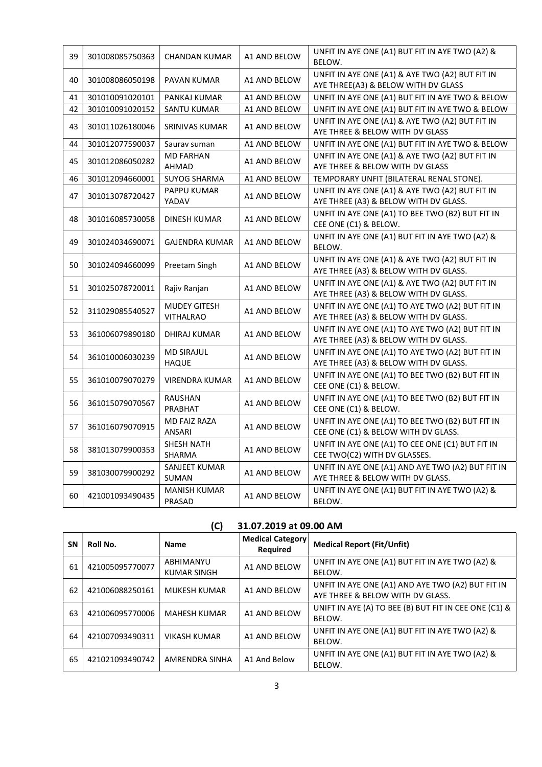| 39 | 301008085750363 | <b>CHANDAN KUMAR</b>                    | A1 AND BELOW | UNFIT IN AYE ONE (A1) BUT FIT IN AYE TWO (A2) &<br>BELOW.                                 |
|----|-----------------|-----------------------------------------|--------------|-------------------------------------------------------------------------------------------|
| 40 | 301008086050198 | PAVAN KUMAR                             | A1 AND BELOW | UNFIT IN AYE ONE (A1) & AYE TWO (A2) BUT FIT IN<br>AYE THREE(A3) & BELOW WITH DV GLASS    |
| 41 | 301010091020101 | PANKAJ KUMAR                            | A1 AND BELOW | UNFIT IN AYE ONE (A1) BUT FIT IN AYE TWO & BELOW                                          |
| 42 | 301010091020152 | <b>SANTU KUMAR</b>                      | A1 AND BELOW | UNFIT IN AYE ONE (A1) BUT FIT IN AYE TWO & BELOW                                          |
| 43 | 301011026180046 | SRINIVAS KUMAR                          | A1 AND BELOW | UNFIT IN AYE ONE (A1) & AYE TWO (A2) BUT FIT IN<br>AYE THREE & BELOW WITH DV GLASS        |
| 44 | 301012077590037 | Saurav suman                            | A1 AND BELOW | UNFIT IN AYE ONE (A1) BUT FIT IN AYE TWO & BELOW                                          |
| 45 | 301012086050282 | <b>MD FARHAN</b><br>AHMAD               | A1 AND BELOW | UNFIT IN AYE ONE (A1) & AYE TWO (A2) BUT FIT IN<br>AYE THREE & BELOW WITH DV GLASS        |
| 46 | 301012094660001 | <b>SUYOG SHARMA</b>                     | A1 AND BELOW | TEMPORARY UNFIT (BILATERAL RENAL STONE).                                                  |
| 47 | 301013078720427 | <b>PAPPU KUMAR</b><br>YADAV             | A1 AND BELOW | UNFIT IN AYE ONE (A1) & AYE TWO (A2) BUT FIT IN<br>AYE THREE (A3) & BELOW WITH DV GLASS.  |
| 48 | 301016085730058 | DINESH KUMAR                            | A1 AND BELOW | UNFIT IN AYE ONE (A1) TO BEE TWO (B2) BUT FIT IN<br>CEE ONE (C1) & BELOW.                 |
| 49 | 301024034690071 | <b>GAJENDRA KUMAR</b>                   | A1 AND BELOW | UNFIT IN AYE ONE (A1) BUT FIT IN AYE TWO (A2) &<br>BELOW.                                 |
| 50 | 301024094660099 | Preetam Singh                           | A1 AND BELOW | UNFIT IN AYE ONE (A1) & AYE TWO (A2) BUT FIT IN<br>AYE THREE (A3) & BELOW WITH DV GLASS.  |
| 51 | 301025078720011 | Rajiv Ranjan                            | A1 AND BELOW | UNFIT IN AYE ONE (A1) & AYE TWO (A2) BUT FIT IN<br>AYE THREE (A3) & BELOW WITH DV GLASS.  |
| 52 | 311029085540527 | <b>MUDEY GITESH</b><br><b>VITHALRAO</b> | A1 AND BELOW | UNFIT IN AYE ONE (A1) TO AYE TWO (A2) BUT FIT IN<br>AYE THREE (A3) & BELOW WITH DV GLASS. |
| 53 | 361006079890180 | DHIRAJ KUMAR                            | A1 AND BELOW | UNFIT IN AYE ONE (A1) TO AYE TWO (A2) BUT FIT IN<br>AYE THREE (A3) & BELOW WITH DV GLASS. |
| 54 | 361010006030239 | <b>MD SIRAJUL</b><br><b>HAQUE</b>       | A1 AND BELOW | UNFIT IN AYE ONE (A1) TO AYE TWO (A2) BUT FIT IN<br>AYE THREE (A3) & BELOW WITH DV GLASS. |
| 55 | 361010079070279 | <b>VIRENDRA KUMAR</b>                   | A1 AND BELOW | UNFIT IN AYE ONE (A1) TO BEE TWO (B2) BUT FIT IN<br>CEE ONE (C1) & BELOW.                 |
| 56 | 361015079070567 | RAUSHAN<br>PRABHAT                      | A1 AND BELOW | UNFIT IN AYE ONE (A1) TO BEE TWO (B2) BUT FIT IN<br>CEE ONE (C1) & BELOW.                 |
| 57 | 361016079070915 | MD FAIZ RAZA<br>ANSARI                  | A1 AND BELOW | UNFIT IN AYE ONE (A1) TO BEE TWO (B2) BUT FIT IN<br>CEE ONE (C1) & BELOW WITH DV GLASS.   |
| 58 | 381013079900353 | <b>SHESH NATH</b><br>SHARMA             | A1 AND BELOW | UNFIT IN AYE ONE (A1) TO CEE ONE (C1) BUT FIT IN<br>CEE TWO(C2) WITH DV GLASSES.          |
| 59 | 381030079900292 | SANJEET KUMAR<br>SUMAN                  | A1 AND BELOW | UNFIT IN AYE ONE (A1) AND AYE TWO (A2) BUT FIT IN<br>AYE THREE & BELOW WITH DV GLASS.     |
| 60 | 421001093490435 | <b>MANISH KUMAR</b><br>PRASAD           | A1 AND BELOW | UNFIT IN AYE ONE (A1) BUT FIT IN AYE TWO (A2) &<br>BELOW.                                 |

## (C) 31.07.2019 at 09.00 AM

| <b>SN</b> | Roll No.        | <b>Name</b>                     | <b>Medical Category</b><br>Required | <b>Medical Report (Fit/Unfit)</b>                                                     |
|-----------|-----------------|---------------------------------|-------------------------------------|---------------------------------------------------------------------------------------|
| 61        | 421005095770077 | ABHIMANYU<br><b>KUMAR SINGH</b> | A1 AND BELOW                        | UNFIT IN AYE ONE (A1) BUT FIT IN AYE TWO (A2) &<br>BELOW.                             |
| 62        | 421006088250161 | <b>MUKESH KUMAR</b>             | A1 AND BELOW                        | UNFIT IN AYE ONE (A1) AND AYE TWO (A2) BUT FIT IN<br>AYE THREE & BELOW WITH DV GLASS. |
| 63        | 421006095770006 | <b>MAHESH KUMAR</b>             | A1 AND BELOW                        | UNIFT IN AYE (A) TO BEE (B) BUT FIT IN CEE ONE (C1) &<br>BELOW.                       |
| 64        | 421007093490311 | <b>VIKASH KUMAR</b>             | A1 AND BELOW                        | UNFIT IN AYE ONE (A1) BUT FIT IN AYE TWO (A2) &<br>BELOW.                             |
| 65        | 421021093490742 | AMRENDRA SINHA                  | A1 And Below                        | UNFIT IN AYE ONE (A1) BUT FIT IN AYE TWO (A2) &<br>BELOW.                             |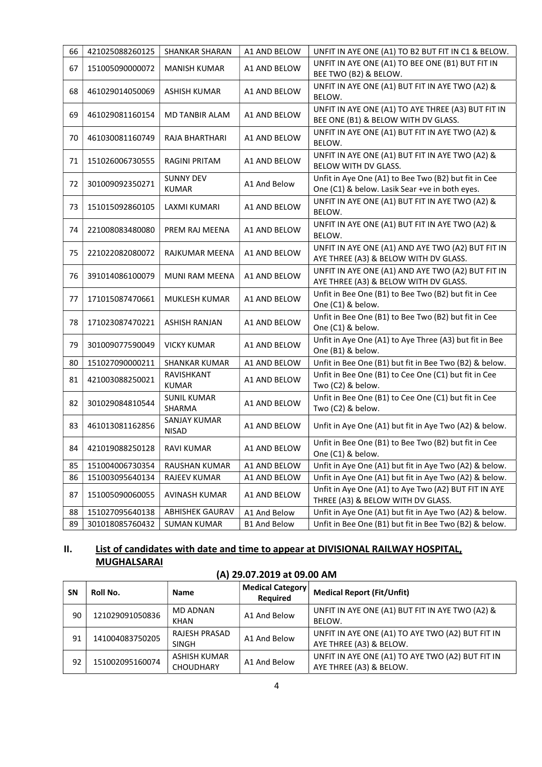| 66 | 421025088260125 | <b>SHANKAR SHARAN</b>            | A1 AND BELOW        | UNFIT IN AYE ONE (A1) TO B2 BUT FIT IN C1 & BELOW.                                                     |
|----|-----------------|----------------------------------|---------------------|--------------------------------------------------------------------------------------------------------|
| 67 | 151005090000072 | <b>MANISH KUMAR</b>              | A1 AND BELOW        | UNFIT IN AYE ONE (A1) TO BEE ONE (B1) BUT FIT IN<br>BEE TWO (B2) & BELOW.                              |
| 68 | 461029014050069 | ASHISH KUMAR                     | A1 AND BELOW        | UNFIT IN AYE ONE (A1) BUT FIT IN AYE TWO (A2) &<br>BELOW.                                              |
| 69 | 461029081160154 | MD TANBIR ALAM                   | A1 AND BELOW        | UNFIT IN AYE ONE (A1) TO AYE THREE (A3) BUT FIT IN<br>BEE ONE (B1) & BELOW WITH DV GLASS.              |
| 70 | 461030081160749 | RAJA BHARTHARI                   | A1 AND BELOW        | UNFIT IN AYE ONE (A1) BUT FIT IN AYE TWO (A2) &<br>BELOW.                                              |
| 71 | 151026006730555 | RAGINI PRITAM                    | A1 AND BELOW        | UNFIT IN AYE ONE (A1) BUT FIT IN AYE TWO (A2) &<br>BELOW WITH DV GLASS.                                |
| 72 | 301009092350271 | <b>SUNNY DEV</b><br><b>KUMAR</b> | A1 And Below        | Unfit in Aye One (A1) to Bee Two (B2) but fit in Cee<br>One (C1) & below. Lasik Sear +ve in both eyes. |
| 73 | 151015092860105 | LAXMI KUMARI                     | A1 AND BELOW        | UNFIT IN AYE ONE (A1) BUT FIT IN AYE TWO (A2) &<br>BELOW.                                              |
| 74 | 221008083480080 | PREM RAJ MEENA                   | A1 AND BELOW        | UNFIT IN AYE ONE (A1) BUT FIT IN AYE TWO (A2) &<br>BELOW.                                              |
| 75 | 221022082080072 | RAJKUMAR MEENA                   | A1 AND BELOW        | UNFIT IN AYE ONE (A1) AND AYE TWO (A2) BUT FIT IN<br>AYE THREE (A3) & BELOW WITH DV GLASS.             |
| 76 | 391014086100079 | MUNI RAM MEENA                   | A1 AND BELOW        | UNFIT IN AYE ONE (A1) AND AYE TWO (A2) BUT FIT IN<br>AYE THREE (A3) & BELOW WITH DV GLASS.             |
| 77 | 171015087470661 | MUKLESH KUMAR                    | A1 AND BELOW        | Unfit in Bee One (B1) to Bee Two (B2) but fit in Cee<br>One (C1) & below.                              |
| 78 | 171023087470221 | ASHISH RANJAN                    | A1 AND BELOW        | Unfit in Bee One (B1) to Bee Two (B2) but fit in Cee<br>One (C1) & below.                              |
| 79 | 301009077590049 | VICKY KUMAR                      | A1 AND BELOW        | Unfit in Aye One (A1) to Aye Three (A3) but fit in Bee<br>One (B1) & below.                            |
| 80 | 151027090000211 | SHANKAR KUMAR                    | A1 AND BELOW        | Unfit in Bee One (B1) but fit in Bee Two (B2) & below.                                                 |
| 81 | 421003088250021 | RAVISHKANT<br><b>KUMAR</b>       | A1 AND BELOW        | Unfit in Bee One (B1) to Cee One (C1) but fit in Cee<br>Two (C2) & below.                              |
| 82 | 301029084810544 | <b>SUNIL KUMAR</b><br>SHARMA     | A1 AND BELOW        | Unfit in Bee One (B1) to Cee One (C1) but fit in Cee<br>Two (C2) & below.                              |
| 83 | 461013081162856 | SANJAY KUMAR<br>NISAD            | A1 AND BELOW        | Unfit in Aye One (A1) but fit in Aye Two (A2) & below.                                                 |
| 84 | 421019088250128 | <b>RAVI KUMAR</b>                | A1 AND BELOW        | Unfit in Bee One (B1) to Bee Two (B2) but fit in Cee<br>One (C1) & below.                              |
| 85 | 151004006730354 | RAUSHAN KUMAR                    | A1 AND BELOW        | Unfit in Aye One (A1) but fit in Aye Two (A2) & below.                                                 |
| 86 | 151003095640134 | RAJEEV KUMAR                     | A1 AND BELOW        | Unfit in Aye One (A1) but fit in Aye Two (A2) & below.                                                 |
| 87 | 151005090060055 | AVINASH KUMAR                    | A1 AND BELOW        | Unfit in Aye One (A1) to Aye Two (A2) BUT FIT IN AYE<br>THREE (A3) & BELOW WITH DV GLASS.              |
| 88 | 151027095640138 | <b>ABHISHEK GAURAV</b>           | A1 And Below        | Unfit in Aye One (A1) but fit in Aye Two (A2) & below.                                                 |
| 89 | 301018085760432 | <b>SUMAN KUMAR</b>               | <b>B1 And Below</b> | Unfit in Bee One (B1) but fit in Bee Two (B2) & below.                                                 |

# II. List of candidates with date and time to appear at DIVISIONAL RAILWAY HOSPITAL, MUGHALSARAI

| <b>SN</b> | Roll No.        | <b>Name</b>                      | Medical Category  <br>Required | <b>Medical Report (Fit/Unfit)</b>                                           |  |  |
|-----------|-----------------|----------------------------------|--------------------------------|-----------------------------------------------------------------------------|--|--|
| 90        | 121029091050836 | MD ADNAN<br><b>KHAN</b>          | A1 And Below                   | UNFIT IN AYE ONE (A1) BUT FIT IN AYE TWO (A2) &<br>BELOW.                   |  |  |
| 91        | 141004083750205 | <b>RAJESH PRASAD</b><br>SINGH    | A1 And Below                   | UNFIT IN AYE ONE (A1) TO AYE TWO (A2) BUT FIT IN<br>AYE THREE (A3) & BELOW. |  |  |
| 92        | 151002095160074 | ASHISH KUMAR<br><b>CHOUDHARY</b> | A1 And Below                   | UNFIT IN AYE ONE (A1) TO AYE TWO (A2) BUT FIT IN<br>AYE THREE (A3) & BELOW. |  |  |

(A) 29.07.2019 at 09.00 AM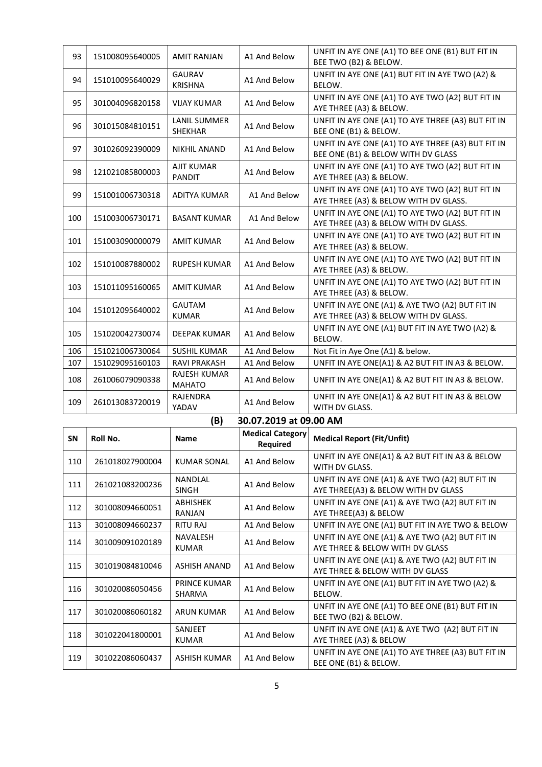| 93        | 151008095640005 | <b>AMIT RANJAN</b>              | A1 And Below            | UNFIT IN AYE ONE (A1) TO BEE ONE (B1) BUT FIT IN<br>BEE TWO (B2) & BELOW.                 |  |
|-----------|-----------------|---------------------------------|-------------------------|-------------------------------------------------------------------------------------------|--|
| 94        | 151010095640029 | <b>GAURAV</b><br><b>KRISHNA</b> | A1 And Below            | UNFIT IN AYE ONE (A1) BUT FIT IN AYE TWO (A2) &<br>BELOW.                                 |  |
| 95        | 301004096820158 | <b>VIJAY KUMAR</b>              | A1 And Below            | UNFIT IN AYE ONE (A1) TO AYE TWO (A2) BUT FIT IN<br>AYE THREE (A3) & BELOW.               |  |
| 96        | 301015084810151 | LANIL SUMMER<br><b>SHEKHAR</b>  | A1 And Below            | UNFIT IN AYE ONE (A1) TO AYE THREE (A3) BUT FIT IN<br>BEE ONE (B1) & BELOW.               |  |
| 97        | 301026092390009 | <b>NIKHIL ANAND</b>             | A1 And Below            | UNFIT IN AYE ONE (A1) TO AYE THREE (A3) BUT FIT IN<br>BEE ONE (B1) & BELOW WITH DV GLASS  |  |
| 98        | 121021085800003 | <b>AJIT KUMAR</b><br>PANDIT     | A1 And Below            | UNFIT IN AYE ONE (A1) TO AYE TWO (A2) BUT FIT IN<br>AYE THREE (A3) & BELOW.               |  |
| 99        | 151001006730318 | ADITYA KUMAR                    | A1 And Below            | UNFIT IN AYE ONE (A1) TO AYE TWO (A2) BUT FIT IN<br>AYE THREE (A3) & BELOW WITH DV GLASS. |  |
| 100       | 151003006730171 | <b>BASANT KUMAR</b>             | A1 And Below            | UNFIT IN AYE ONE (A1) TO AYE TWO (A2) BUT FIT IN<br>AYE THREE (A3) & BELOW WITH DV GLASS. |  |
| 101       | 151003090000079 | <b>AMIT KUMAR</b>               | A1 And Below            | UNFIT IN AYE ONE (A1) TO AYE TWO (A2) BUT FIT IN<br>AYE THREE (A3) & BELOW.               |  |
| 102       | 151010087880002 | <b>RUPESH KUMAR</b>             | A1 And Below            | UNFIT IN AYE ONE (A1) TO AYE TWO (A2) BUT FIT IN<br>AYE THREE (A3) & BELOW.               |  |
| 103       | 151011095160065 | <b>AMIT KUMAR</b>               | A1 And Below            | UNFIT IN AYE ONE (A1) TO AYE TWO (A2) BUT FIT IN<br>AYE THREE (A3) & BELOW.               |  |
| 104       | 151012095640002 | <b>GAUTAM</b><br><b>KUMAR</b>   | A1 And Below            | UNFIT IN AYE ONE (A1) & AYE TWO (A2) BUT FIT IN<br>AYE THREE (A3) & BELOW WITH DV GLASS.  |  |
| 105       | 151020042730074 | DEEPAK KUMAR                    | A1 And Below            | UNFIT IN AYE ONE (A1) BUT FIT IN AYE TWO (A2) &<br>BELOW.                                 |  |
| 106       | 151021006730064 | <b>SUSHIL KUMAR</b>             | A1 And Below            | Not Fit in Aye One (A1) & below.                                                          |  |
| 107       | 151029095160103 | <b>RAVI PRAKASH</b>             | A1 And Below            | UNFIT IN AYE ONE(A1) & A2 BUT FIT IN A3 & BELOW.                                          |  |
| 108       | 261006079090338 | RAJESH KUMAR<br><b>MAHATO</b>   | A1 And Below            | UNFIT IN AYE ONE(A1) & A2 BUT FIT IN A3 & BELOW.                                          |  |
| 109       | 261013083720019 | RAJENDRA<br>YADAV               | A1 And Below            | UNFIT IN AYE ONE(A1) & A2 BUT FIT IN A3 & BELOW<br>WITH DV GLASS.                         |  |
|           |                 |                                 |                         |                                                                                           |  |
|           |                 | (B)                             | 30.07.2019 at 09.00 AM  |                                                                                           |  |
|           |                 |                                 | <b>Medical Category</b> |                                                                                           |  |
| <b>SN</b> | Roll No.        | <b>Name</b>                     | Required                | <b>Medical Report (Fit/Unfit)</b>                                                         |  |
| 110       | 261018027900004 | <b>KUMAR SONAL</b>              | A1 And Below            | UNFIT IN AYE ONE(A1) & A2 BUT FIT IN A3 & BELOW<br>WITH DV GLASS.                         |  |
| 111       | 261021083200236 | NANDLAL<br><b>SINGH</b>         | A1 And Below            | UNFIT IN AYE ONE (A1) & AYE TWO (A2) BUT FIT IN<br>AYE THREE(A3) & BELOW WITH DV GLASS    |  |
| 112       | 301008094660051 | ABHISHEK<br>RANJAN              | A1 And Below            | UNFIT IN AYE ONE (A1) & AYE TWO (A2) BUT FIT IN<br>AYE THREE(A3) & BELOW                  |  |
| 113       | 301008094660237 | RITU RAJ                        | A1 And Below            | UNFIT IN AYE ONE (A1) BUT FIT IN AYE TWO & BELOW                                          |  |
| 114       | 301009091020189 | NAVALESH<br><b>KUMAR</b>        | A1 And Below            | UNFIT IN AYE ONE (A1) & AYE TWO (A2) BUT FIT IN<br>AYE THREE & BELOW WITH DV GLASS        |  |
| 115       | 301019084810046 | <b>ASHISH ANAND</b>             | A1 And Below            | UNFIT IN AYE ONE (A1) & AYE TWO (A2) BUT FIT IN<br>AYE THREE & BELOW WITH DV GLASS        |  |
| 116       | 301020086050456 | PRINCE KUMAR<br>SHARMA          | A1 And Below            | UNFIT IN AYE ONE (A1) BUT FIT IN AYE TWO (A2) &<br>BELOW.                                 |  |
| 117       | 301020086060182 | <b>ARUN KUMAR</b>               | A1 And Below            | UNFIT IN AYE ONE (A1) TO BEE ONE (B1) BUT FIT IN<br>BEE TWO (B2) & BELOW.                 |  |
| 118       | 301022041800001 | SANJEET<br><b>KUMAR</b>         | A1 And Below            | UNFIT IN AYE ONE (A1) & AYE TWO (A2) BUT FIT IN<br>AYE THREE (A3) & BELOW                 |  |